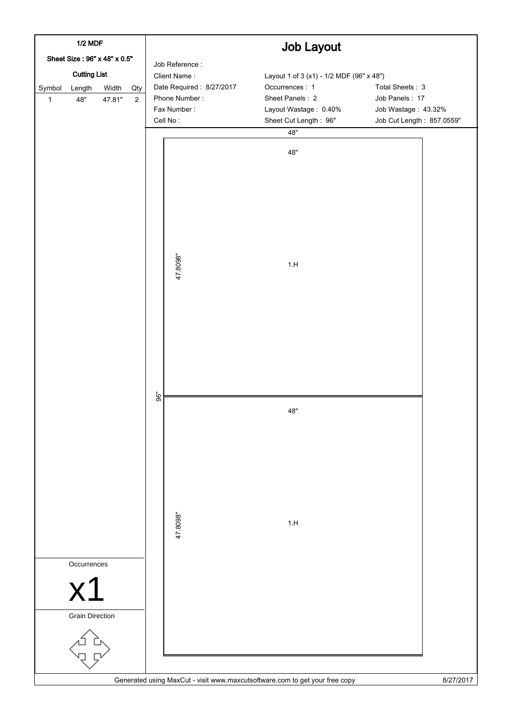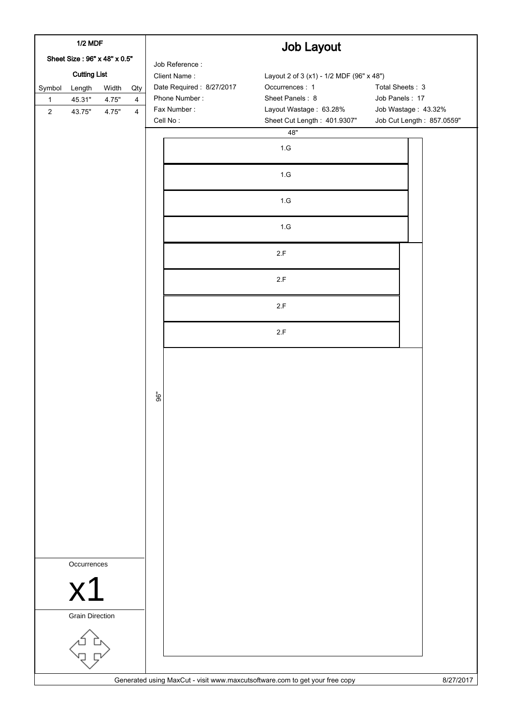| <b>1/2 MDF</b><br>Sheet Size: 96" x 48" x 0.5" |                        |       |                | <b>Job Layout</b>        |                                                                             |                           |  |  |  |
|------------------------------------------------|------------------------|-------|----------------|--------------------------|-----------------------------------------------------------------------------|---------------------------|--|--|--|
|                                                |                        |       |                | Job Reference:           |                                                                             |                           |  |  |  |
| <b>Cutting List</b>                            |                        |       |                | Client Name:             | Layout 2 of 3 (x1) - 1/2 MDF (96" x 48")                                    |                           |  |  |  |
| Symbol                                         | Length                 | Width | Qty            | Date Required: 8/27/2017 | Occurrences: 1                                                              | Total Sheets: 3           |  |  |  |
| $\mathbf{1}$                                   | 45.31"                 | 4.75" | $\overline{4}$ | Phone Number:            | Sheet Panels: 8                                                             | Job Panels: 17            |  |  |  |
| $\overline{2}$                                 | 43.75"                 | 4.75" | $\overline{4}$ | Fax Number:              | Layout Wastage: 63.28%                                                      | Job Wastage: 43.32%       |  |  |  |
|                                                |                        |       |                | Cell No:                 | Sheet Cut Length: 401.9307"                                                 | Job Cut Length: 857.0559" |  |  |  |
|                                                |                        |       |                |                          | 48"                                                                         |                           |  |  |  |
|                                                |                        |       |                |                          | 1.G                                                                         |                           |  |  |  |
|                                                |                        |       |                |                          | $1.G$                                                                       |                           |  |  |  |
|                                                |                        |       |                |                          | $1.G$                                                                       |                           |  |  |  |
|                                                |                        |       |                |                          | $1.G$                                                                       |                           |  |  |  |
|                                                |                        |       |                |                          | 2.F                                                                         |                           |  |  |  |
|                                                |                        |       |                |                          | 2.F                                                                         |                           |  |  |  |
|                                                |                        |       |                |                          | 2.F                                                                         |                           |  |  |  |
|                                                |                        |       |                |                          | 2.F                                                                         |                           |  |  |  |
|                                                |                        |       |                |                          |                                                                             |                           |  |  |  |
|                                                |                        |       |                |                          |                                                                             |                           |  |  |  |
|                                                |                        |       |                | 96"                      |                                                                             |                           |  |  |  |
|                                                |                        |       |                |                          |                                                                             |                           |  |  |  |
|                                                |                        |       |                |                          |                                                                             |                           |  |  |  |
|                                                |                        |       |                |                          |                                                                             |                           |  |  |  |
|                                                |                        |       |                |                          |                                                                             |                           |  |  |  |
|                                                |                        |       |                |                          |                                                                             |                           |  |  |  |
|                                                | Occurrences            |       |                |                          |                                                                             |                           |  |  |  |
|                                                | x <sub>1</sub>         |       |                |                          |                                                                             |                           |  |  |  |
|                                                | <b>Grain Direction</b> |       |                |                          |                                                                             |                           |  |  |  |
|                                                |                        |       |                |                          |                                                                             |                           |  |  |  |
|                                                |                        |       |                |                          | Generated using MaxCut - visit www.maxcutsoftware.com to get your free copy | 8/27/2017                 |  |  |  |